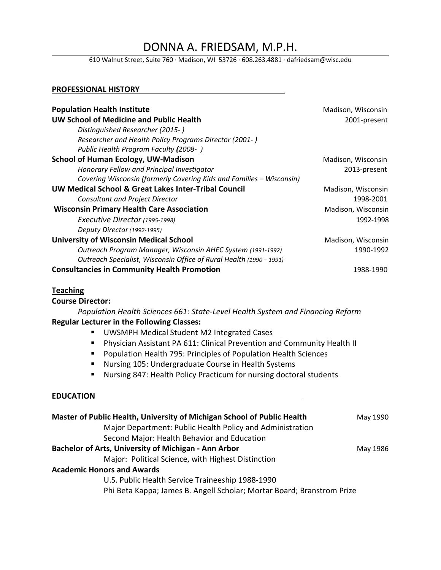DONNA A. FRIEDSAM, M.P.H.<br>610 Walnut Street, Suite 760 · Madison, WI 53726 · 608.263.4881 · dafriedsam@wisc.edu

### **PROFESSIONAL HISTORY**

| <b>Population Health Institute</b>                                   | Madison, Wisconsin |
|----------------------------------------------------------------------|--------------------|
| <b>UW School of Medicine and Public Health</b>                       | 2001-present       |
| Distinguished Researcher (2015-)                                     |                    |
| Researcher and Health Policy Programs Director (2001-)               |                    |
| Public Health Program Faculty (2008-)                                |                    |
| <b>School of Human Ecology, UW-Madison</b>                           | Madison, Wisconsin |
| Honorary Fellow and Principal Investigator                           | 2013-present       |
| Covering Wisconsin (formerly Covering Kids and Families - Wisconsin) |                    |
| UW Medical School & Great Lakes Inter-Tribal Council                 | Madison, Wisconsin |
| Consultant and Project Director                                      | 1998-2001          |
| <b>Wisconsin Primary Health Care Association</b>                     | Madison, Wisconsin |
| Executive Director (1995-1998)                                       | 1992-1998          |
| Deputy Director (1992-1995)                                          |                    |
| <b>University of Wisconsin Medical School</b>                        | Madison, Wisconsin |
| Outreach Program Manager, Wisconsin AHEC System (1991-1992)          | 1990-1992          |
| Outreach Specialist, Wisconsin Office of Rural Health (1990 – 1991)  |                    |
| <b>Consultancies in Community Health Promotion</b>                   | 1988-1990          |

## **Teaching**

**Course Director:**

*Population Health Sciences 661: State-Level Health System and Financing Reform* **Regular Lecturer in the Following Classes:**

- **UWSMPH Medical Student M2 Integrated Cases**
- Physician Assistant PA 611: Clinical Prevention and Community Health II
- **Population Health 795: Principles of Population Health Sciences**
- Nursing 105: Undergraduate Course in Health Systems
- Nursing 847: Health Policy Practicum for nursing doctoral students

### **EDUCATION**

| Master of Public Health, University of Michigan School of Public Health | May 1990 |  |
|-------------------------------------------------------------------------|----------|--|
| Major Department: Public Health Policy and Administration               |          |  |
| Second Major: Health Behavior and Education                             |          |  |
| Bachelor of Arts, University of Michigan - Ann Arbor                    | May 1986 |  |
| Major: Political Science, with Highest Distinction                      |          |  |
| <b>Academic Honors and Awards</b>                                       |          |  |
| U.S. Public Health Service Traineeship 1988-1990                        |          |  |
| Phi Beta Kappa; James B. Angell Scholar; Mortar Board; Branstrom Prize  |          |  |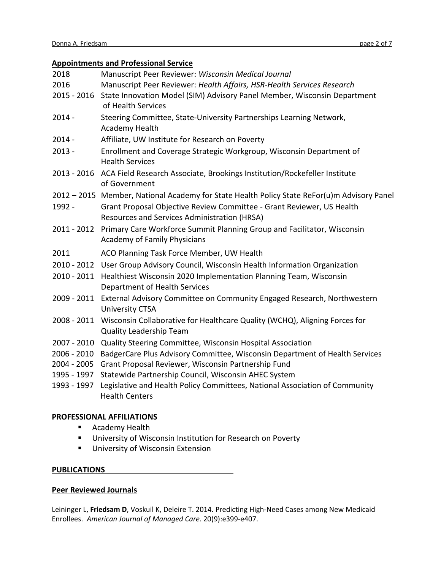## **Appointments and Professional Service**

|             | <u>reponnence and recessional service</u>                                                                             |
|-------------|-----------------------------------------------------------------------------------------------------------------------|
| 2018        | Manuscript Peer Reviewer: Wisconsin Medical Journal                                                                   |
| 2016        | Manuscript Peer Reviewer: Health Affairs, HSR-Health Services Research                                                |
| 2015 - 2016 | State Innovation Model (SIM) Advisory Panel Member, Wisconsin Department<br>of Health Services                        |
| $2014 -$    | Steering Committee, State-University Partnerships Learning Network,<br>Academy Health                                 |
| $2014 -$    | Affiliate, UW Institute for Research on Poverty                                                                       |
| $2013 -$    | Enrollment and Coverage Strategic Workgroup, Wisconsin Department of<br><b>Health Services</b>                        |
|             | 2013 - 2016 ACA Field Research Associate, Brookings Institution/Rockefeller Institute<br>of Government                |
|             | 2012 - 2015 Member, National Academy for State Health Policy State ReFor(u)m Advisory Panel                           |
| 1992 -      | Grant Proposal Objective Review Committee - Grant Reviewer, US Health<br>Resources and Services Administration (HRSA) |
| 2011 - 2012 | Primary Care Workforce Summit Planning Group and Facilitator, Wisconsin<br><b>Academy of Family Physicians</b>        |
| 2011        | ACO Planning Task Force Member, UW Health                                                                             |
|             | 2010 - 2012 User Group Advisory Council, Wisconsin Health Information Organization                                    |
| 2010 - 2011 | Healthiest Wisconsin 2020 Implementation Planning Team, Wisconsin<br>Department of Health Services                    |
| 2009 - 2011 | External Advisory Committee on Community Engaged Research, Northwestern<br><b>University CTSA</b>                     |
| 2008 - 2011 | Wisconsin Collaborative for Healthcare Quality (WCHQ), Aligning Forces for<br><b>Quality Leadership Team</b>          |
| 2007 - 2010 | Quality Steering Committee, Wisconsin Hospital Association                                                            |
| 2006 - 2010 | BadgerCare Plus Advisory Committee, Wisconsin Department of Health Services                                           |
| 2004 - 2005 | Grant Proposal Reviewer, Wisconsin Partnership Fund                                                                   |
| 1995 - 1997 | Statewide Partnership Council, Wisconsin AHEC System                                                                  |
| 1993 - 1997 | Legislative and Health Policy Committees, National Association of Community<br><b>Health Centers</b>                  |

# **PROFESSIONAL AFFILIATIONS**

- **Academy Health**
- **University of Wisconsin Institution for Research on Poverty**
- **University of Wisconsin Extension**

## **PUBLICATIONS**

## **Peer Reviewed Journals**

Leininger L, **Friedsam D**, Voskuil K, Deleire T. 2014. Predicting High-Need Cases among New Medicaid Enrollees. *American Journal of Managed Care*. 20(9):e399-e407.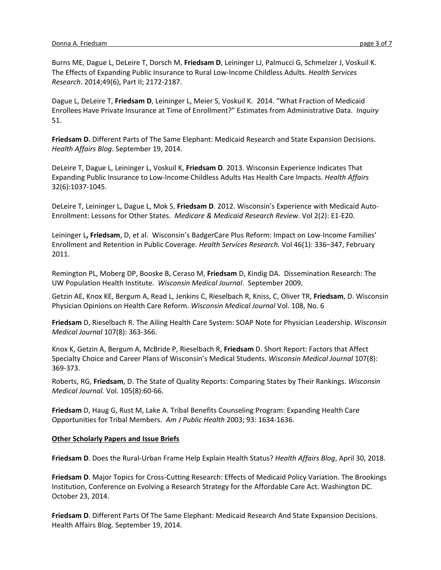Burns ME, Dague L, DeLeire T, Dorsch M, **Friedsam D**, Leininger LJ, Palmucci G, Schmelzer J, Voskuil K. The Effects of Expanding Public Insurance to Rural Low-Income Childless Adults. *Health Services Research*. 2014;49(6), Part II; 2172-2187.

Dague L, DeLeire T, **Friedsam D**, Leininger L, Meier S, Voskuil K. 2014. "What Fraction of Medicaid Enrollees Have Private Insurance at Time of Enrollment?" Estimates from Administrative Data. *Inquiry*  51.

**Friedsam D.** Different Parts of The Same Elephant: Medicaid Research and State Expansion Decisions. *Health Affairs Blog*. September 19, 2014.

DeLeire T, Dague L, Leininger L, Voskuil K, **Friedsam D**. 2013. Wisconsin Experience Indicates That Expanding Public Insurance to Low-Income Childless Adults Has Health Care Impacts. *Health Affairs*  32(6):1037-1045.

DeLeire T, Leininger L, Dague L, Mok S, **Friedsam D**. 2012. Wisconsin's Experience with Medicaid Auto-Enrollment: Lessons for Other States. *Medicare & Medicaid Research Review*. Vol 2(2): E1-E20.

Leininger L**, Friedsam**, D, et al. Wisconsin's BadgerCare Plus Reform: Impact on Low-Income Families' Enrollment and Retention in Public Coverage. *Health Services Research.* Vol 46(1): 336–347, February 2011.

Remington PL, Moberg DP, Booske B, Ceraso M, **Friedsam** D, Kindig DA. Dissemination Research: The UW Population Health Institute. *Wisconsin Medical Journal*. September 2009.

Getzin AE, Knox KE, Bergum A, Read L, Jenkins C, Rieselbach R, Kniss, C, Oliver TR, **Friedsam**, D. Wisconsin Physician Opinions on Health Care Reform. *Wisconsin Medical Journal* Vol. 108, No. 6

**Friedsam** D, Rieselbach R. The Ailing Health Care System: SOAP Note for Physician Leadership. *Wisconsin Medical Journal* 107(8): 363-366.

Knox K, Getzin A, Bergum A, McBride P, Rieselbach R, **Friedsam** D. Short Report: Factors that Affect Specialty Choice and Career Plans of Wisconsin's Medical Students. *Wisconsin Medical Journal* 107(8): 369-373.

Roberts, RG, **Friedsam**, D. The State of Quality Reports: Comparing States by Their Rankings. *Wisconsin Medical Journal.* Vol. 105(8):60-66.

**Friedsam** D, Haug G, Rust M, Lake A. Tribal Benefits Counseling Program: Expanding Health Care Opportunities for Tribal Members. *Am J Public Health* 2003; 93: 1634-1636.

### **Other Scholarly Papers and Issue Briefs**

**Friedsam D**. Does the Rural-Urban Frame Help Explain Health Status? *Health Affairs Blog*, April 30, 2018.

**Friedsam D**. Major Topics for Cross-Cutting Research: Effects of Medicaid Policy Variation. The Brookings Institution, Conference on Evolving a Research Strategy for the Affordable Care Act. Washington DC. October 23, 2014.

**Friedsam D**. Different Parts Of The Same Elephant: Medicaid Research And State Expansion Decisions. Health Affairs Blog. September 19, 2014.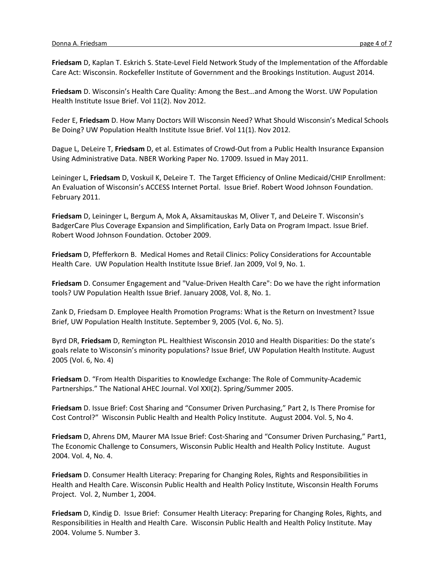**Friedsam** D, Kaplan T. Eskrich S. State-Level Field Network Study of the Implementation of the Affordable Care Act: Wisconsin. Rockefeller Institute of Government and the Brookings Institution. August 2014.

**Friedsam** D. Wisconsin's Health Care Quality: Among the Best…and Among the Worst. UW Population Health Institute Issue Brief. Vol 11(2). Nov 2012.

Feder E, **Friedsam** D. How Many Doctors Will Wisconsin Need? What Should Wisconsin's Medical Schools Be Doing? UW Population Health Institute Issue Brief. Vol 11(1). Nov 2012.

Dague L, DeLeire T, **Friedsam** D, et al. Estimates of Crowd-Out from a Public Health Insurance Expansion Using Administrative Data. NBER Working Paper No. 17009. Issued in May 2011.

Leininger L, **Friedsam** D, Voskuil K, DeLeire T. The Target Efficiency of Online Medicaid/CHIP Enrollment: An Evaluation of Wisconsin's ACCESS Internet Portal. Issue Brief. Robert Wood Johnson Foundation. February 2011.

**Friedsam** D, Leininger L, Bergum A, Mok A, Aksamitauskas M, Oliver T, and DeLeire T. Wisconsin's BadgerCare Plus Coverage Expansion and Simplification, Early Data on Program Impact. Issue Brief. Robert Wood Johnson Foundation. October 2009.

**Friedsam** D, Pfefferkorn B. Medical Homes and Retail Clinics: Policy Considerations for Accountable Health Care. UW Population Health Institute Issue Brief. Jan 2009, Vol 9, No. 1.

**Friedsam** D. Consumer Engagement and "Value-Driven Health Care": Do we have the right information tools? UW Population Health Issue Brief. January 2008, Vol. 8, No. 1.

Zank D, Friedsam D. Employee Health Promotion Programs: What is the Return on Investment? Issue Brief, UW Population Health Institute. September 9, 2005 (Vol. 6, No. 5).

Byrd DR, **Friedsam** D, Remington PL. Healthiest Wisconsin 2010 and Health Disparities: Do the state's goals relate to Wisconsin's minority populations? Issue Brief, UW Population Health Institute. August 2005 (Vol. 6, No. 4)

**Friedsam** D. "From Health Disparities to Knowledge Exchange: The Role of Community-Academic Partnerships." The National AHEC Journal. Vol XXI(2). Spring/Summer 2005.

**Friedsam** D. Issue Brief: Cost Sharing and "Consumer Driven Purchasing," Part 2, Is There Promise for Cost Control?" Wisconsin Public Health and Health Policy Institute. August 2004. Vol. 5, No 4.

**Friedsam** D, Ahrens DM, Maurer MA Issue Brief: Cost-Sharing and "Consumer Driven Purchasing," Part1, The Economic Challenge to Consumers, Wisconsin Public Health and Health Policy Institute. August 2004. Vol. 4, No. 4.

**Friedsam** D. Consumer Health Literacy: Preparing for Changing Roles, Rights and Responsibilities in Health and Health Care. Wisconsin Public Health and Health Policy Institute, Wisconsin Health Forums Project. Vol. 2, Number 1, 2004.

**Friedsam** D, Kindig D. Issue Brief: Consumer Health Literacy: Preparing for Changing Roles, Rights, and Responsibilities in Health and Health Care. Wisconsin Public Health and Health Policy Institute. May 2004. Volume 5. Number 3.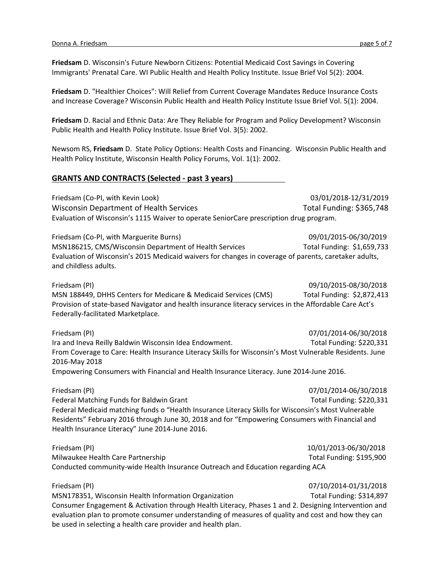**Friedsam** D. Wisconsin's Future Newborn Citizens: Potential Medicaid Cost Savings in Covering Immigrants' Prenatal Care. WI Public Health and Health Policy Institute. Issue Brief Vol 5(2): 2004.

**Friedsam** D. "Healthier Choices": Will Relief from Current Coverage Mandates Reduce Insurance Costs and Increase Coverage? Wisconsin Public Health and Health Policy Institute Issue Brief Vol. 5(1): 2004.

**Friedsam** D. Racial and Ethnic Data: Are They Reliable for Program and Policy Development? Wisconsin Public Health and Health Policy Institute. Issue Brief Vol. 3(5): 2002.

Newsom RS, **Friedsam** D. State Policy Options: Health Costs and Financing. Wisconsin Public Health and Health Policy Institute, Wisconsin Health Policy Forums, Vol. 1(1): 2002.

#### **GRANTS AND CONTRACTS (Selected - past 3 years)**

Friedsam (Co-PI, with Kevin Look) 03/01/2018-12/31/2019 Wisconsin Department of Health Services **The Constant Constant Total Funding: \$365,748** Evaluation of Wisconsin's 1115 Waiver to operate SeniorCare prescription drug program.

Friedsam (Co-PI, with Marguerite Burns) 09/01/2015-06/30/2019 MSN186215, CMS/Wisconsin Department of Health Services Total Funding: \$1,659,733 Evaluation of Wisconsin's 2015 Medicaid waivers for changes in coverage of parents, caretaker adults, and childless adults.

Friedsam (PI) 09/10/2015-08/30/2018 MSN 188449, DHHS Centers for Medicare & Medicaid Services (CMS) Total Funding: \$2,872,413 Provision of state-based Navigator and health insurance literacy services in the Affordable Care Act's Federally-facilitated Marketplace.

Friedsam (PI) 07/01/2014-06/30/2018 Ira and Ineva Reilly Baldwin Wisconsin Idea Endowment. The Controller Constants Total Funding: \$220,331 From Coverage to Care: Health Insurance Literacy Skills for Wisconsin's Most Vulnerable Residents. June 2016-May 2018

Empowering Consumers with Financial and Health Insurance Literacy. June 2014-June 2016.

Friedsam (PI) 07/01/2014-06/30/2018 Federal Matching Funds for Baldwin Grant Total Funding: \$220,331 Federal Medicaid matching funds o "Health Insurance Literacy Skills for Wisconsin's Most Vulnerable Residents" February 2016 through June 30, 2018 and for "Empowering Consumers with Financial and Health Insurance Literacy" June 2014-June 2016.

Friedsam (PI) 10/01/2013-06/30/2018 Milwaukee Health Care Partnership Total Funding: \$195,900 Conducted community-wide Health Insurance Outreach and Education regarding ACA

Friedsam (PI) 07/10/2014-01/31/2018 MSN178351, Wisconsin Health Information Organization Total Funding: \$314,897 Consumer Engagement & Activation through Health Literacy, Phases 1 and 2. Designing Intervention and evaluation plan to promote consumer understanding of measures of quality and cost and how they can be used in selecting a health care provider and health plan.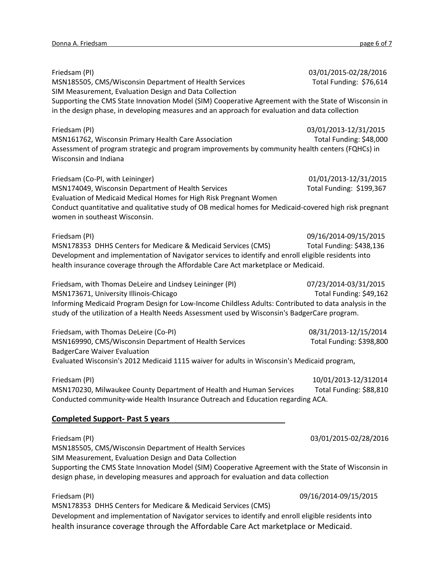Friedsam (PI) 03/01/2015-02/28/2016 MSN185505, CMS/Wisconsin Department of Health Services Total Funding: \$76,614 SIM Measurement, Evaluation Design and Data Collection Supporting the CMS State Innovation Model (SIM) Cooperative Agreement with the State of Wisconsin in in the design phase, in developing measures and an approach for evaluation and data collection Friedsam (PI) 03/01/2013-12/31/2015 MSN161762, Wisconsin Primary Health Care Association Total Funding: \$48,000 Assessment of program strategic and program improvements by community health centers (FQHCs) in Wisconsin and Indiana Friedsam (Co-PI, with Leininger) 01/01/2013-12/31/2015 MSN174049, Wisconsin Department of Health Services Total Funding: \$199,367 Evaluation of Medicaid Medical Homes for High Risk Pregnant Women Conduct quantitative and qualitative study of OB medical homes for Medicaid-covered high risk pregnant women in southeast Wisconsin. Friedsam (PI) 09/16/2014-09/15/2015 MSN178353 DHHS Centers for Medicare & Medicaid Services (CMS) Total Funding: \$438,136 Development and implementation of Navigator services to identify and enroll eligible residents into health insurance coverage through the Affordable Care Act marketplace or Medicaid. Friedsam, with Thomas DeLeire and Lindsey Leininger (PI) 07/23/2014-03/31/2015 MSN173671, University Illinois-Chicago The Chicago Total Funding: \$49,162 Informing Medicaid Program Design for Low-Income Childless Adults: Contributed to data analysis in the study of the utilization of a Health Needs Assessment used by Wisconsin's BadgerCare program. Friedsam, with Thomas DeLeire (Co-PI) 08/31/2013-12/15/2014 MSN169990, CMS/Wisconsin Department of Health Services Total Funding: \$398,800 BadgerCare Waiver Evaluation Evaluated Wisconsin's 2012 Medicaid 1115 waiver for adults in Wisconsin's Medicaid program, Friedsam (PI) 10/01/2013-12/312014 MSN170230, Milwaukee County Department of Health and Human Services Total Funding: \$88,810 Conducted community-wide Health Insurance Outreach and Education regarding ACA. **Completed Support- Past 5 years** Friedsam (PI) 03/01/2015-02/28/2016 MSN185505, CMS/Wisconsin Department of Health Services SIM Measurement, Evaluation Design and Data Collection Supporting the CMS State Innovation Model (SIM) Cooperative Agreement with the State of Wisconsin in design phase, in developing measures and approach for evaluation and data collection Friedsam (PI) 09/16/2014-09/15/2015

MSN178353 DHHS Centers for Medicare & Medicaid Services (CMS) Development and implementation of Navigator services to identify and enroll eligible residents into health insurance coverage through the Affordable Care Act marketplace or Medicaid.